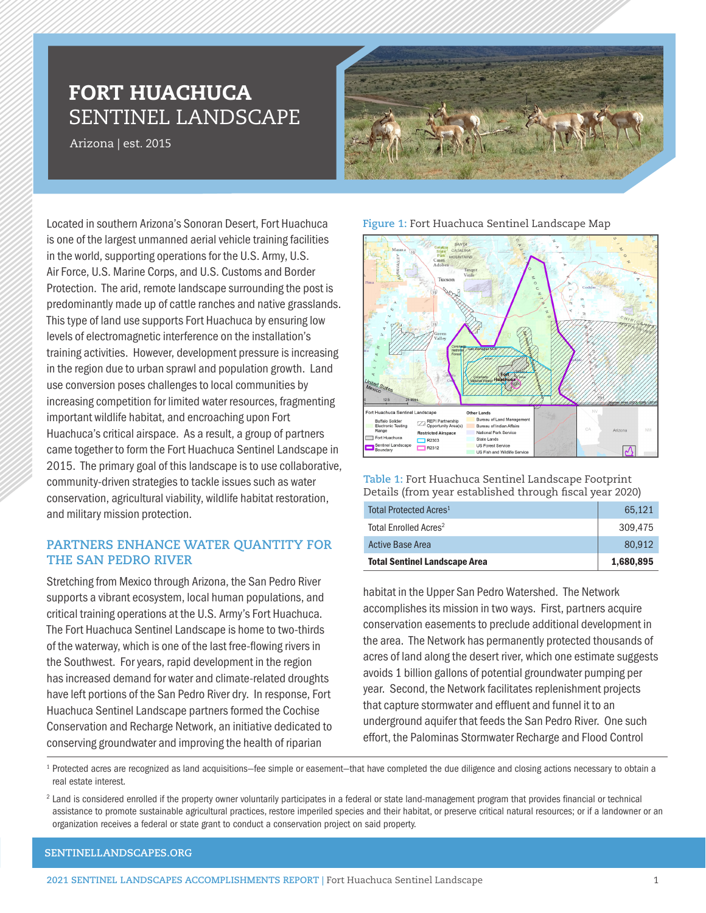# FORT HUACHUCA SENTINEL LANDSCAPE

Arizona | est. 2015



Located in southern Arizona's Sonoran Desert, Fort Huachuca is one of the largest unmanned aerial vehicle training facilities in the world, supporting operations for the U.S. Army, U.S. Air Force, U.S. Marine Corps, and U.S. Customs and Border Protection. The arid, remote landscape surrounding the post is predominantly made up of cattle ranches and native grasslands. This type of land use supports Fort Huachuca by ensuring low levels of electromagnetic interference on the installation's training activities. However, development pressure is increasing in the region due to urban sprawl and population growth. Land use conversion poses challenges to local communities by increasing competition for limited water resources, fragmenting important wildlife habitat, and encroaching upon Fort Huachuca's critical airspace. As a result, a group of partners came together to form the Fort Huachuca Sentinel Landscape in 2015. The primary goal of this landscape is to use collaborative, community-driven strategies to tackle issues such as water conservation, agricultural viability, wildlife habitat restoration, and military mission protection.

## **PARTNERS ENHANCE WATER QUANTITY FOR THE SAN PEDRO RIVER**

Stretching from Mexico through Arizona, the San Pedro River supports a vibrant ecosystem, local human populations, and critical training operations at the U.S. Army's Fort Huachuca. The Fort Huachuca Sentinel Landscape is home to two-thirds of the waterway, which is one of the last free-flowing rivers in the Southwest. For years, rapid development in the region has increased demand for water and climate-related droughts have left portions of the San Pedro River dry. In response, Fort Huachuca Sentinel Landscape partners formed the Cochise Conservation and Recharge Network, an initiative dedicated to conserving groundwater and improving the health of riparian

### **Figure 1:** Fort Huachuca Sentinel Landscape Map



**Table 1:** Fort Huachuca Sentinel Landscape Footprint Details (from year established through fiscal year 2020)

| Total Protected Acres <sup>1</sup><br>Total Enrolled Acres <sup>2</sup> | 65.121<br>309,475 |
|-------------------------------------------------------------------------|-------------------|
| <b>Active Base Area</b>                                                 | 80.912            |
| <b>Total Sentinel Landscape Area</b>                                    | 1,680,895         |

habitat in the Upper San Pedro Watershed. The Network accomplishes its mission in two ways. First, partners acquire conservation easements to preclude additional development in the area. The Network has permanently protected thousands of acres of land along the desert river, which one estimate suggests avoids 1 billion gallons of potential groundwater pumping per year. Second, the Network facilitates replenishment projects that capture stormwater and effluent and funnel it to an underground aquifer that feeds the San Pedro River. One such effort, the Palominas Stormwater Recharge and Flood Control

<sup>1</sup> Protected acres are recognized as land acquisitions–fee simple or easement–that have completed the due diligence and closing actions necessary to obtain a real estate interest.

<sup>2</sup> Land is considered enrolled if the property owner voluntarily participates in a federal or state land-management program that provides financial or technical assistance to promote sustainable agricultural practices, restore imperiled species and their habitat, or preserve critical natural resources; or if a landowner or an organization receives a federal or state grant to conduct a conservation project on said property.